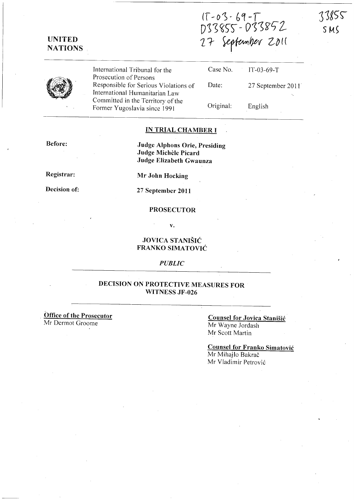17-03-69-T<br>D33855-D33852<br>27 September 2011



**UNITED NATIONS** 

> International Tribunal for the Prosecution of Persons Responsible for Serious Violations of International Humanitarian Law Committed in the Territory of the Former Yugoslavia since 1991

| Case No.  | $T-03-69-T$       |
|-----------|-------------------|
| Date:     | 27 September 2011 |
|           |                   |
| Original: | English           |

### **IN TRIAL CHAMBER I**

**Before:** 

**Judge Alphons Orie, Presiding Judge Michele Picard Judge Elizabeth Gwaunza** 

**Registrar:** 

**Decision of:** 

**Mr John Hocking** 

**27 September 2011** 

### **PROSECUTOR**

**v.** 

### **JOVICA STANISIC FRANKO SIMATOVIC**

*PUBLIC* 

## **DECISION ON PROTECTIVE MEASURES FOR WITNESS JF -026**

. **Office of the Prosecutor**  Mr Dermot Groome

### **Counsel for Jovica Stanisic**  Mr Wayne Jordash Mr Scott Martin

**Counsel for Franko Simatovic**  Mr Mihajlo Bakrač Mr Vladimir Petrović

73855

SMS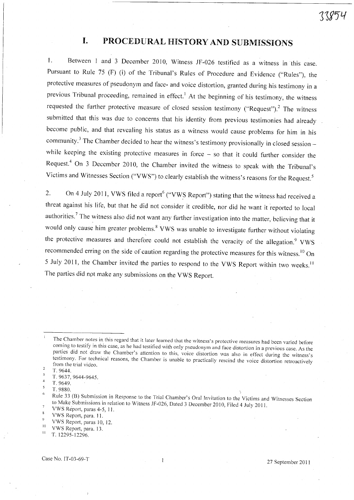# **I. PROCEDURAL HISTORY AND SUBMISSIONS**

1. Between 1 and 3 December 2010, Witness JF-026 testified as a witness in this case. Pursuant to Rule 75 (F) (i) of the Tribunal's Rules of Procedure and Evidence ("Rules"), the protective measures of pseudonym and face- and voice distortion, granted during his testimony in a previous Tribunal proceeding, remained in effect.<sup>1</sup> At the beginning of his testimony, the witness requested the further protective measure of closed session testimony ("Request").<sup>2</sup> The witness submitted that this was due to concerns that his identity from previous testimonies had already become public, and that revealing his status as a witness would cause problems for him in his community.<sup>3</sup> The Chamber decided to hear the witness's testimony provisionally in closed session while keeping the existing protective measures in force  $-$  so that it could further consider the Request.<sup>4</sup> On 3 December 2010, the Chamber invited the witness to speak with the Tribunal's Victims and Witnesses Section ("VWS") to clearly establish the witness's reasons for the Request.<sup>5</sup>

2. On 4 July 2011, VWS filed a report<sup>6</sup> ("VWS Report") stating that the witness had received a threat against his life, but that he did not consider it credible, nor did he want it reported to local authorities.<sup>7</sup> The witness also did not want any further investigation into the matter, believing that it would only cause him greater problems.<sup>8</sup> VWS was unable to investigate further without violating the protective measures and therefore could not establish the veracity of the allegation.<sup>9</sup> VWS recommended erring on the side of caution regarding the protective measures for this witness.<sup>10</sup> On 5 July 2011, the Chamber invited the parties to respond to the VWS Report within two weeks.<sup>11</sup> The parties did npt make any submissions on the VWS Report.

VWS Report, paras 4-5, 11.  $\boldsymbol{8}$ 

VWS Report, paras 10, 12.  $10$ 

The Chamber notes in this regard that it later learned that the witness's protective measures had been varied before coming to testify in this case, as he had testified with only pseudonym and face distortion in a previous case. As the parties did not draw the Chamber's attention to this, voice distortion was also in effect during the witness's testimony. For technical reasons, the Chamber is unable to practically rescind the voice distortion retroactively from the trial video.

T.9644.  $\overline{3}$ 

T. 9637, 9644-9645.  $\overline{4}$ 

T. 9649.<br>T. 9880.  $\overline{\mathbf{S}}$ 

 $.9880.$ 

The 33 (B) Submission in Response to the Trial Chamber's Oral Invitation to the Victims and Witnesses Section to Make Submissions in relation to Witness JF-026, Dated 3 December 2010, Filed 4 July 2011.

VWS Report, para. 11.  $\overline{9}$ 

 $10$  VWS Report, para. 13.

<sup>11</sup>T. 12295-12296.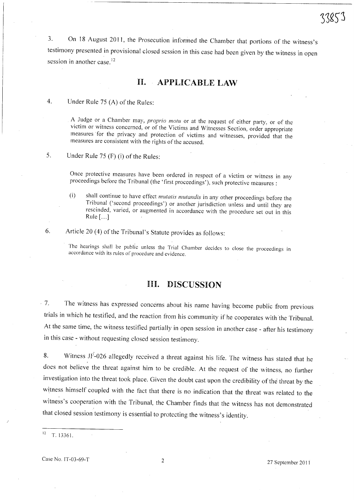3. On 18 August 2011, the Prosecution informed the Chamber that portions of the witness's testimony presented in provisional closed session in this case had been given by the witness in open session in another case.<sup>1</sup>

## **11. APPLICABLE LAW**

4. Under Rule 75 (A) of the Rules:

A Judge or a Chamber may, *proprio motu* or at the request of either party, or of the victim or witness concerned, or of the Victims and Witnesses Section, order appropriate measures for the privacy and protection of victims and witnesses, provided that the measures are consistent with the rights of the accused.

5. Under Rule 75 (F) (i) of the Rules:

Once protective measures have been ordered in respect of a victim or witness in any proceedings before the Tribunal (the 'first proceedings'), such protective measures:

(i) shall continue to have effect *mutatis mutandis* in any other proceedings before the Tribunal ('second proceedings') or another jurisdiction unless and until they are rescinded, varied, or augmented in accordance with the procedure set out in this Rule  $[\dots]$ 

6. Article 20 (4) of the Tribunal's Statute provides as follows:

The hearings shall be public unless the Trial Chamber decides to close the proceedings in accordance with its rules of procedure and evidence.

## **JUl. DISCUSSION**

7. The witness has expressed concerns about his name having become public from previous trials in which he testified, and the reaction from his community if he cooperates with the Tribunal. At the same time, the witness testified partially in open session in another case - after his testimony in this case - without requesting closed session testimony.

8. Witness 1F-026 allegedly received a threat against his life. The witness has stated that he does not believe the threat against him to be credible. At the request of the witness, no further investigation into the threat took place. Given the doubt cast upon the credibility of the threat by the witness himself coupled with the fact that there is no indication that the threat was related to the witness's cooperation with the Tribunal, the Chamber finds that the witness has not demonstrated that closed session testimony is essential to protecting the witness's identity.

 $12$  T. 13361.

Case No. IT-03-69-T 2 27 September 2011